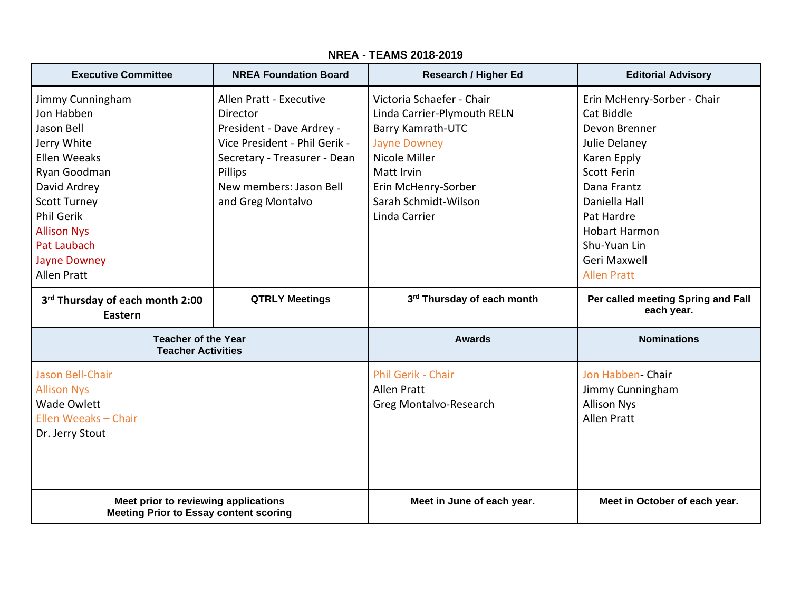| <b>Executive Committee</b>                                                                                                                                                                                          | <b>NREA Foundation Board</b>                                                                                                                                                                 | <b>Research / Higher Ed</b>                                                                                                                                                                         | <b>Editorial Advisory</b>                                                                                                                                                                                              |
|---------------------------------------------------------------------------------------------------------------------------------------------------------------------------------------------------------------------|----------------------------------------------------------------------------------------------------------------------------------------------------------------------------------------------|-----------------------------------------------------------------------------------------------------------------------------------------------------------------------------------------------------|------------------------------------------------------------------------------------------------------------------------------------------------------------------------------------------------------------------------|
| Jimmy Cunningham<br>Jon Habben<br>Jason Bell<br>Jerry White<br>Ellen Weeaks<br>Ryan Goodman<br>David Ardrey<br><b>Scott Turney</b><br><b>Phil Gerik</b><br><b>Allison Nys</b><br>Pat Laubach<br><b>Jayne Downey</b> | Allen Pratt - Executive<br>Director<br>President - Dave Ardrey -<br>Vice President - Phil Gerik -<br>Secretary - Treasurer - Dean<br>Pillips<br>New members: Jason Bell<br>and Greg Montalvo | Victoria Schaefer - Chair<br>Linda Carrier-Plymouth RELN<br>Barry Kamrath-UTC<br><b>Jayne Downey</b><br>Nicole Miller<br>Matt Irvin<br>Erin McHenry-Sorber<br>Sarah Schmidt-Wilson<br>Linda Carrier | Erin McHenry-Sorber - Chair<br>Cat Biddle<br>Devon Brenner<br>Julie Delanev<br>Karen Epply<br><b>Scott Ferin</b><br>Dana Frantz<br>Daniella Hall<br>Pat Hardre<br><b>Hobart Harmon</b><br>Shu-Yuan Lin<br>Geri Maxwell |
| <b>Allen Pratt</b>                                                                                                                                                                                                  |                                                                                                                                                                                              |                                                                                                                                                                                                     | <b>Allen Pratt</b>                                                                                                                                                                                                     |
| 3rd Thursday of each month 2:00<br>Eastern                                                                                                                                                                          | <b>QTRLY Meetings</b>                                                                                                                                                                        | 3rd Thursday of each month                                                                                                                                                                          | Per called meeting Spring and Fall<br>each year.                                                                                                                                                                       |
| <b>Teacher of the Year</b><br><b>Teacher Activities</b>                                                                                                                                                             |                                                                                                                                                                                              | <b>Awards</b>                                                                                                                                                                                       | <b>Nominations</b>                                                                                                                                                                                                     |
| Jason Bell-Chair<br><b>Allison Nys</b><br><b>Wade Owlett</b><br>Ellen Weeaks - Chair<br>Dr. Jerry Stout                                                                                                             |                                                                                                                                                                                              | Phil Gerik - Chair<br>Allen Pratt<br>Greg Montalvo-Research                                                                                                                                         | Jon Habben- Chair<br>Jimmy Cunningham<br><b>Allison Nys</b><br><b>Allen Pratt</b>                                                                                                                                      |
| Meet prior to reviewing applications<br><b>Meeting Prior to Essay content scoring</b>                                                                                                                               |                                                                                                                                                                                              | Meet in June of each year.                                                                                                                                                                          | Meet in October of each year.                                                                                                                                                                                          |

## **NREA - TEAMS 2018-2019**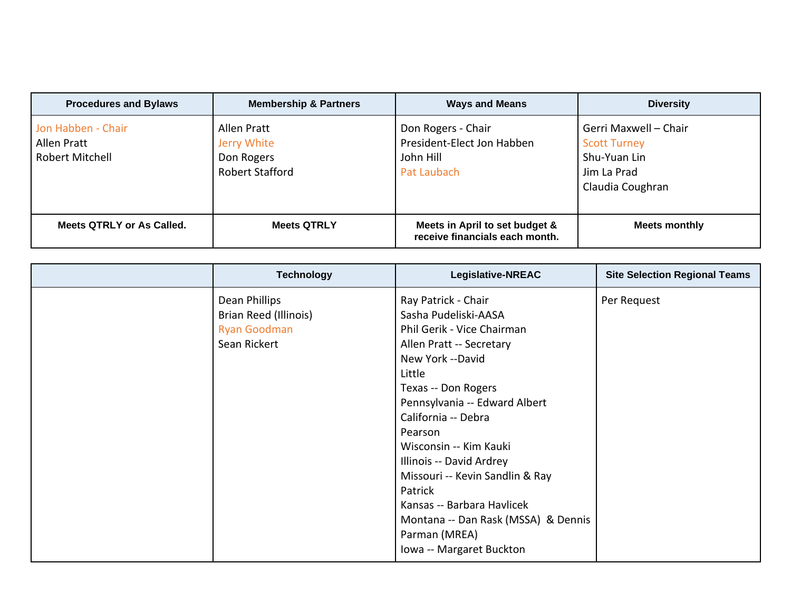| <b>Procedures and Bylaws</b>                         | <b>Membership &amp; Partners</b>                                   | <b>Ways and Means</b>                                                        | <b>Diversity</b>                                                                                |
|------------------------------------------------------|--------------------------------------------------------------------|------------------------------------------------------------------------------|-------------------------------------------------------------------------------------------------|
| Jon Habben - Chair<br>Allen Pratt<br>Robert Mitchell | Allen Pratt<br>Jerry White<br>Don Rogers<br><b>Robert Stafford</b> | Don Rogers - Chair<br>President-Elect Jon Habben<br>John Hill<br>Pat Laubach | Gerri Maxwell - Chair<br><b>Scott Turney</b><br>Shu-Yuan Lin<br>Jim La Prad<br>Claudia Coughran |
| <b>Meets QTRLY or As Called.</b>                     | <b>Meets QTRLY</b>                                                 | Meets in April to set budget &<br>receive financials each month.             | Meets monthly                                                                                   |

| <b>Technology</b>     | Legislative-NREAC                   | <b>Site Selection Regional Teams</b> |
|-----------------------|-------------------------------------|--------------------------------------|
| Dean Phillips         | Ray Patrick - Chair                 | Per Request                          |
| Brian Reed (Illinois) | Sasha Pudeliski-AASA                |                                      |
| <b>Ryan Goodman</b>   | Phil Gerik - Vice Chairman          |                                      |
| Sean Rickert          | Allen Pratt -- Secretary            |                                      |
|                       | New York --David                    |                                      |
|                       | Little                              |                                      |
|                       | Texas -- Don Rogers                 |                                      |
|                       | Pennsylvania -- Edward Albert       |                                      |
|                       | California -- Debra                 |                                      |
|                       | Pearson                             |                                      |
|                       | Wisconsin -- Kim Kauki              |                                      |
|                       | Illinois -- David Ardrey            |                                      |
|                       | Missouri -- Kevin Sandlin & Ray     |                                      |
|                       | Patrick                             |                                      |
|                       | Kansas -- Barbara Havlicek          |                                      |
|                       | Montana -- Dan Rask (MSSA) & Dennis |                                      |
|                       | Parman (MREA)                       |                                      |
|                       | Iowa -- Margaret Buckton            |                                      |